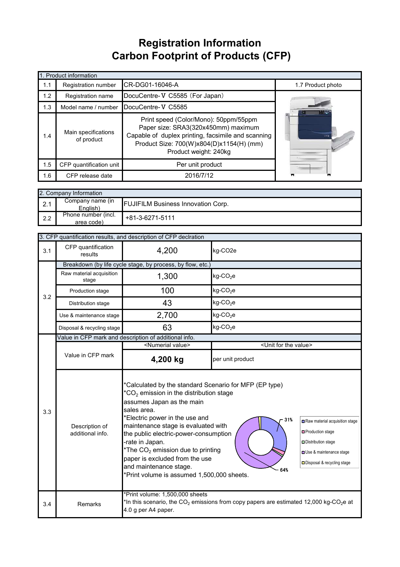## **Registration Information Carbon Footprint of Products (CFP)**

|     | 1. Product information            |                                                                                                                                                                                                         |                    |
|-----|-----------------------------------|---------------------------------------------------------------------------------------------------------------------------------------------------------------------------------------------------------|--------------------|
| 1.1 | Registration number               | CR-DG01-16046-A                                                                                                                                                                                         | 1.7 Product photo  |
| 1.2 | Registration name                 | DocuCentre-V C5585 (For Japan)                                                                                                                                                                          |                    |
| 1.3 | Model name / number               | DocuCentre-V C5585                                                                                                                                                                                      |                    |
| 1.4 | Main specifications<br>of product | Print speed (Color/Mono): 50ppm/55ppm<br>Paper size: SRA3(320x450mm) maximum<br>Capable of duplex printing, facsimile and scanning<br>Product Size: 700(W)x804(D)x1154(H) (mm)<br>Product weight: 240kg | $rac{1}{\sqrt{2}}$ |
| 1.5 | CFP quantification unit           | Per unit product                                                                                                                                                                                        |                    |
| 1.6 | CFP release date                  | 2016/7/12                                                                                                                                                                                               | ₩                  |

|               | 2. Company Information            |                                           |
|---------------|-----------------------------------|-------------------------------------------|
| っ 1<br>$\sim$ | Company name (in<br>English)      | <b>FUJIFILM Business Innovation Corp.</b> |
| 2.2           | Phone number (incl.<br>area code) | +81-3-6271-5111                           |

|     |                                    | 3. CFP quantification results, and description of CFP declration                                                                                                                                                                                                                                                                                                                                                                        |                                                                                                                |                                                                                                                                     |
|-----|------------------------------------|-----------------------------------------------------------------------------------------------------------------------------------------------------------------------------------------------------------------------------------------------------------------------------------------------------------------------------------------------------------------------------------------------------------------------------------------|----------------------------------------------------------------------------------------------------------------|-------------------------------------------------------------------------------------------------------------------------------------|
| 3.1 | CFP quantification<br>results      | 4,200                                                                                                                                                                                                                                                                                                                                                                                                                                   | kg-CO2e                                                                                                        |                                                                                                                                     |
|     |                                    | Breakdown (by life cycle stage, by process, by flow, etc.)                                                                                                                                                                                                                                                                                                                                                                              |                                                                                                                |                                                                                                                                     |
|     | Raw material acquisition<br>stage  | 1,300                                                                                                                                                                                                                                                                                                                                                                                                                                   | $kg$ -CO <sub>2</sub> e                                                                                        |                                                                                                                                     |
| 3.2 | Production stage                   | 100                                                                                                                                                                                                                                                                                                                                                                                                                                     | $kg$ -CO <sub>2</sub> e                                                                                        |                                                                                                                                     |
|     | Distribution stage                 | 43                                                                                                                                                                                                                                                                                                                                                                                                                                      | $kg$ -CO <sub>2</sub> e                                                                                        |                                                                                                                                     |
|     | Use & maintenance stage            | 2,700                                                                                                                                                                                                                                                                                                                                                                                                                                   | $kg$ -CO <sub>2</sub> e                                                                                        |                                                                                                                                     |
|     | Disposal & recycling stage         | 63                                                                                                                                                                                                                                                                                                                                                                                                                                      | $kg$ -CO <sub>2</sub> e                                                                                        |                                                                                                                                     |
|     |                                    | Value in CFP mark and description of additional info.                                                                                                                                                                                                                                                                                                                                                                                   |                                                                                                                |                                                                                                                                     |
|     |                                    | <numerial value=""></numerial>                                                                                                                                                                                                                                                                                                                                                                                                          | <unit for="" the="" value=""></unit>                                                                           |                                                                                                                                     |
|     | Value in CFP mark                  | 4,200 kg                                                                                                                                                                                                                                                                                                                                                                                                                                | per unit product                                                                                               |                                                                                                                                     |
| 3.3 | Description of<br>additional info. | *Calculated by the standard Scenario for MFP (EP type)<br>$^*CO_2$ emission in the distribution stage<br>assumes Japan as the main<br>sales area.<br>*Electric power in the use and<br>maintenance stage is evaluated with<br>the public electric-power-consumption<br>-rate in Japan.<br>*The $CO2$ emission due to printing<br>paper is excluded from the use<br>and maintenance stage.<br>*Print volume is assumed 1,500,000 sheets. | 31%<br>64%                                                                                                     | Raw material acquisition stage<br>□ Production stage<br>Distribution stage<br>Use & maintenance stage<br>Disposal & recycling stage |
| 3.4 | Remarks                            | *Print volume: 1,500,000 sheets<br>4.0 g per A4 paper.                                                                                                                                                                                                                                                                                                                                                                                  | *In this scenario, the CO <sub>2</sub> emissions from copy papers are estimated 12,000 kg-CO <sub>2</sub> e at |                                                                                                                                     |